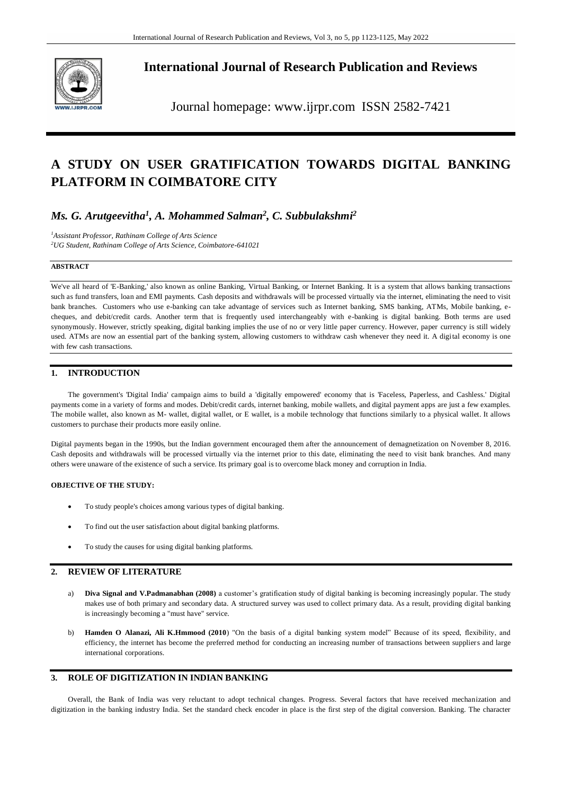

**International Journal of Research Publication and Reviews**

Journal homepage: www.ijrpr.com ISSN 2582-7421

# **A STUDY ON USER GRATIFICATION TOWARDS DIGITAL BANKING PLATFORM IN COIMBATORE CITY**

## *Ms. G. Arutgeevitha<sup>1</sup> , A. Mohammed Salman<sup>2</sup> , C. Subbulakshmi<sup>2</sup>*

*<sup>1</sup>Assistant Professor, Rathinam College of Arts Science <sup>2</sup>UG Student, Rathinam College of Arts Science, Coimbatore-641021*

## **ABSTRACT**

We've all heard of 'E-Banking,' also known as online Banking, Virtual Banking, or Internet Banking. It is a system that allows banking transactions such as fund transfers, loan and EMI payments. Cash deposits and withdrawals will be processed virtually via the internet, eliminating the need to visit bank branches. Customers who use e-banking can take advantage of services such as Internet banking, SMS banking, ATMs, Mobile banking, echeques, and debit/credit cards. Another term that is frequently used interchangeably with e-banking is digital banking. Both terms are used synonymously. However, strictly speaking, digital banking implies the use of no or very little paper currency. However, paper currency is still widely used. ATMs are now an essential part of the banking system, allowing customers to withdraw cash whenever they need it. A digital economy is one with few cash transactions.

## **1. INTRODUCTION**

The government's 'Digital India' campaign aims to build a 'digitally empowered' economy that is 'Faceless, Paperless, and Cashless.' Digital payments come in a variety of forms and modes. Debit/credit cards, internet banking, mobile wallets, and digital payment apps are just a few examples. The mobile wallet, also known as M- wallet, digital wallet, or E wallet, is a mobile technology that functions similarly to a physical wallet. It allows customers to purchase their products more easily online.

Digital payments began in the 1990s, but the Indian government encouraged them after the announcement of demagnetization on November 8, 2016. Cash deposits and withdrawals will be processed virtually via the internet prior to this date, eliminating the need to visit bank branches. And many others were unaware of the existence of such a service. Its primary goal is to overcome black money and corruption in India.

#### **OBJECTIVE OF THE STUDY:**

- To study people's choices among various types of digital banking.
- To find out the user satisfaction about digital banking platforms.
- To study the causes for using digital banking platforms.

#### **2. REVIEW OF LITERATURE**

- a) **Diva Signal and V.Padmanabhan (2008)** a customer's gratification study of digital banking is becoming increasingly popular. The study makes use of both primary and secondary data. A structured survey was used to collect primary data. As a result, providing digital banking is increasingly becoming a "must have" service.
- b) **Hamden O Alanazi, Ali K.Hmmood (2010**) "On the basis of a digital banking system model" Because of its speed, flexibility, and efficiency, the internet has become the preferred method for conducting an increasing number of transactions between suppliers and large international corporations.

## **3. ROLE OF DIGITIZATION IN INDIAN BANKING**

Overall, the Bank of India was very reluctant to adopt technical changes. Progress. Several factors that have received mechanization and digitization in the banking industry India. Set the standard check encoder in place is the first step of the digital conversion. Banking. The character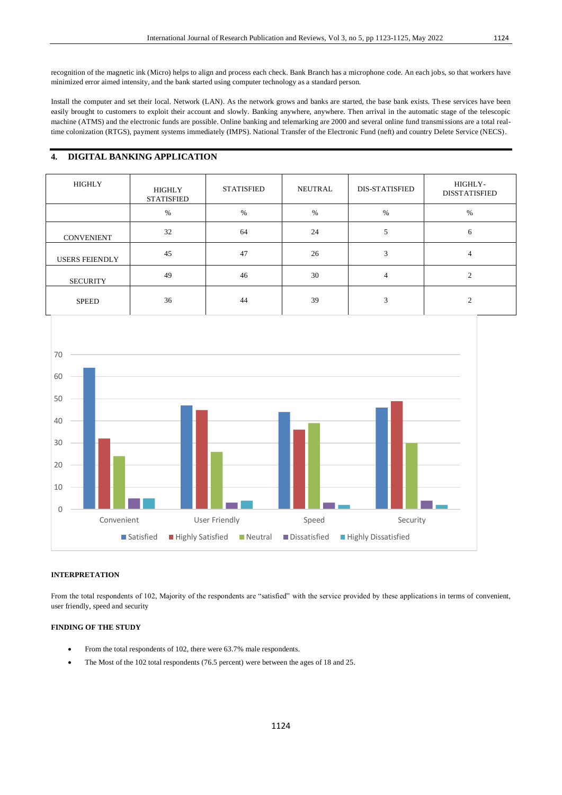recognition of the magnetic ink (Micro) helps to align and process each check. Bank Branch has a microphone code. An each jobs, so that workers have minimized error aimed intensity, and the bank started using computer technology as a standard person.

Install the computer and set their local. Network (LAN). As the network grows and banks are started, the base bank exists. These services have been easily brought to customers to exploit their account and slowly. Banking anywhere, anywhere. Then arrival in the automatic stage of the telescopic machine (ATMS) and the electronic funds are possible. Online banking and telemarking are 2000 and several online fund transmissions are a total realtime colonization (RTGS), payment systems immediately (IMPS). National Transfer of the Electronic Fund (neft) and country Delete Service (NECS).

## **4. DIGITAL BANKING APPLICATION**

| <b>HIGHLY</b>         | HIGHLY<br><b>STATISFIED</b> | <b>STATISFIED</b> | NEUTRAL | <b>DIS-STATISFIED</b> | HIGHLY-<br><b>DISSTATISFIED</b> |
|-----------------------|-----------------------------|-------------------|---------|-----------------------|---------------------------------|
|                       | $\%$                        | $\%$              | $\%$    | $\%$                  | $\%$                            |
| <b>CONVENIENT</b>     | 32                          | 64                | 24      |                       | 6                               |
| <b>USERS FEIENDLY</b> | 45                          | 47                | 26      | 3                     | 4                               |
| <b>SECURITY</b>       | 49                          | 46                | 30      | 4                     | ◠                               |
| <b>SPEED</b>          | 36                          | 44                | 39      | 3                     | $\bigcirc$                      |



#### **INTERPRETATION**

From the total respondents of 102, Majority of the respondents are "satisfied" with the service provided by these applications in terms of convenient, user friendly, speed and security

#### **FINDING OF THE STUDY**

- From the total respondents of 102, there were 63.7% male respondents.
- The Most of the 102 total respondents (76.5 percent) were between the ages of 18 and 25.